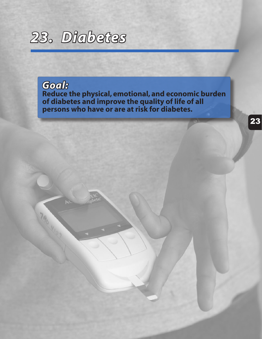

*Goal:* **Reduce the physical, emotional, and economic burden of diabetes and improve the quality of life of all persons who have or are at risk for diabetes.**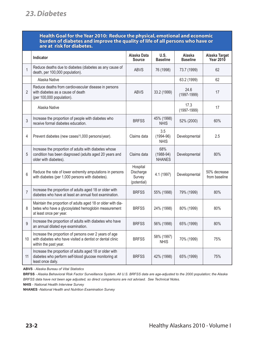#### **Health Goal for the Year 2010: Reduce the physical, emotional and economic burden of diabetes and improve the quality of life of all persons who have or are at risk for diabetes.**

|                | Indicator                                                                                                                                       | Alaska Data<br><b>Source</b>                   | U.S.<br><b>Baseline</b>             | Alaska<br><b>Baseline</b> | Alaska Target<br><b>Year 2010</b> |
|----------------|-------------------------------------------------------------------------------------------------------------------------------------------------|------------------------------------------------|-------------------------------------|---------------------------|-----------------------------------|
| 1              | Reduce deaths due to diabetes (diabetes as any cause of<br>death, per 100,000 population).                                                      | <b>ABVS</b>                                    | 76 (1998)                           | 73.7 (1999)               | 62                                |
|                | Alaska Native                                                                                                                                   |                                                |                                     | 63.2 (1999)               | 62                                |
| 2              | Reduce deaths from cardiovascular disease in persons<br>with diabetes as a cause of death<br>(per 100,000 population).                          | <b>ABVS</b>                                    | 33.2 (1999)                         | 24.6<br>$(1997 - 1999)$   | 17                                |
|                | Alaska Native                                                                                                                                   |                                                |                                     | 17.3<br>$(1997-1999)$     | 17                                |
| 3              | Increase the proportion of people with diabetes who<br>receive formal diabetes education.                                                       | <b>BRFSS</b>                                   | 45% (1998)<br><b>NHIS</b>           | 52% (2000)                | 60%                               |
| 4              | Prevent diabetes (new cases/1,000 persons/year).                                                                                                | Claims data                                    | 3.5<br>$(1994 - 96)$<br><b>NHIS</b> | Developmental             | 2.5                               |
| 5              | Increase the proportion of adults with diabetes whose<br>condition has been diagnosed (adults aged 20 years and<br>older with diabetes).        | Claims data                                    | 68%<br>$(1988-94)$<br><b>NHANES</b> | Developmental             | 80%                               |
| 6              | Reduce the rate of lower extremity amputations in persons<br>with diabetes (per 1,000 persons with diabetes).                                   | Hospital<br>Discharge<br>Survey<br>(potential) | 4.1 (1997)                          | Developmental             | 50% decrease<br>from baseline     |
| $\overline{7}$ | Increase the proportion of adults aged 18 or older with<br>diabetes who have at least an annual foot examination.                               | <b>BRFSS</b>                                   | 55% (1998)                          | 79% (1999)                | 80%                               |
| 8              | Maintain the proportion of adults aged 18 or older with dia-<br>betes who have a glycosylated hemoglobin measurement<br>at least once per year. | <b>BRFSS</b>                                   | 24% (1998)                          | 80% (1999)                | 80%                               |
| 9              | Increase the proportion of adults with diabetes who have<br>an annual dilated eye examination.                                                  | <b>BRFSS</b>                                   | 56% (1998)                          | 65% (1999)                | 80%                               |
| 10             | Increase the proportion of persons over 2 years of age<br>with diabetes who have visited a dentist or dental clinic<br>within the past year.    | <b>BRFSS</b>                                   | 58% (1997)<br><b>NHIS</b>           | 70% (1999)                | 75%                               |
| 11             | Increase the proportion of adults aged 18 or older with<br>diabetes who perform self-blood glucose monitoring at<br>least once daily.           | <b>BRFSS</b>                                   | 42% (1998)                          | 65% (1999)                | 75%                               |

**ABVS** *- Alaska Bureau of Vital Statistics*

**NHIS** *- National Health Interview Survey*

**NHANES** *-National Health and Nutrition Examination Survey*

**BRFSS** *- Alaska Behavioral Risk Factor Surveillance System. All U.S. BRFSS data are age-adjusted to the 2000 population; the Alaska BRFSS data have not been age adjusted, so direct comparisons are not advised. See Technical Notes.*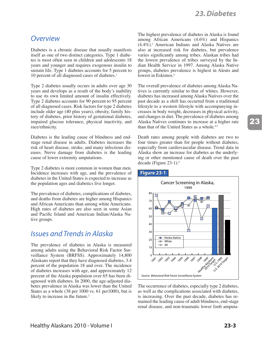#### **Overview**

Diabetes is a chronic disease that usually manifests itself as one of two distinct categories. Type 1 diabetes is most often seen in children and adolescents 18 years and younger and requires exogenous insulin to sustain life. Type 1 diabetes accounts for 5 percent to 10 percent of all diagnosed cases of diabetes.<sup>1</sup>

Type 2 diabetes usually occurs in adults over age 30 years and develops as a result of the body's inability to use its own limited amount of insulin effectively. Type 2 diabetes accounts for 90 percent to 95 percent of all diagnosed cases. Risk factors for type 2 diabetes include older age (40 plus years), obesity, family history of diabetes, prior history of gestational diabetes, impaired glucose tolerance, physical inactivity, and race/ethnicity.

Diabetes is the leading cause of blindness and endstage renal disease in adults. Diabetes increases the risk of heart disease, stroke, and many infectious diseases. Nerve damage from diabetes is the leading cause of lower extremity amputations.

Type 2 diabetes is more common in women than men. Incidence increases with age, and the prevalence of diabetes in the United States is expected to increase as the population ages and diabetics live longer.

The prevalence of diabetes, complications of diabetes, and deaths from diabetes are higher among Hispanics and African Americans than among white Americans. High rates of diabetes are also seen in some Asian and Pacific Island and American Indian/Alaska Native groups.

### **Issues and Trends in Alaska**

The prevalence of diabetes in Alaska is measured among adults using the Behavioral Risk Factor Surveillance System (BRFSS). Approximately 14,800 Alaskans report that they have diagnosed diabetes, 3.4 percent of the population 18 and over. The incidence of diabetes increases with age, and approximately 12 percent of the Alaska population over 65 has been diagnosed with diabetes. In 2000, the age-adjusted diabetes prevalence in Alaska was lower than the United States as a whole (38 per 1000 vs. 61 per 1000), but is likely to increase in the future.<sup>2</sup>

The highest prevalence of diabetes in Alaska is found among African Americans (4.6%) and Hispanics  $(4.4\%)$ <sup>3</sup> American Indians and Alaska Natives are also at increased risk for diabetes, but prevalence varies significantly among tribes. Alaskan tribes had the lowest prevalence of tribes surveyed by the Indian Health Service in 1997. Among Alaska Native groups, diabetes prevalence is highest in Aleuts and lowest in Eskimos.<sup>4</sup>

The overall prevalence of diabetes among Alaska Natives is currently similar to that of whites. However, diabetes has increased among Alaska Natives over the past decade as a shift has occurred from a traditional lifestyle to a western lifestyle with accompanying increases in body weight, decreases in physical activity, and changes in diet. The prevalence of diabetes among Alaska Natives continues to increase at a higher rate than that of the United States as a whole.<sup>4,5</sup>

Death rates among people with diabetes are two to four times greater than for people without diabetes, especially from cardiovascular disease. Trend data in Alaska show an increase for diabetes as the underlying or other mentioned cause of death over the past decade (Figure  $23-1$ ).<sup>6</sup>



The occurrence of diabetes, especially type 2 diabetes, as well as the complications associated with diabetes, is increasing. Over the past decade, diabetes has remained the leading cause of adult blindness, end-stage renal disease, and non-traumatic lower limb amputa-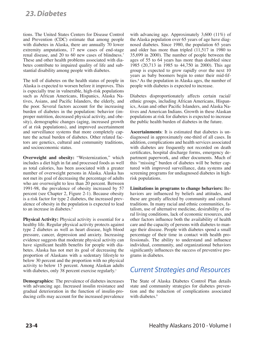### *23. Diabetes*

tions. The United States Centers for Disease Control and Prevention (CDC) estimate that among people with diabetes in Alaska, there are annually 70 lower extremity amputations, 17 new cases of end-stage renal disease, and 20 to 60 new cases of blindness.7 These and other health problems associated with diabetes contribute to impaired quality of life and substantial disability among people with diabetes.

The toll of diabetes on the health status of people in Alaska is expected to worsen before it improves. This is especially true in vulnerable, high-risk populations such as African Americans, Hispanics, Alaska Natives, Asians, and Pacific Islanders, the elderly, and the poor. Several factors account for the increasing burden of diabetes in the population: behavior (improper nutrition, decreased physical activity, and obesity), demographic changes (aging, increased growth of at risk populations), and improved ascertainment and surveillance systems that more completely capture the actual burden of diabetes. Other related factors are genetics, cultural and community traditions, and socioeconomic status.

**Overweight and obesity:** "Westernization," which includes a diet high in fat and processed foods as well as total calories, has been associated with a greater number of overweight persons in Alaska. Alaska has not met its goal of decreasing the percentage of adults who are overweight to less than 20 percent. Between 1991-98, the prevalence of obesity increased by 57 percent (see Chapter 2, Figure 2-1). Because obesity is a risk factor for type 2 diabetes, the increased prevalence of obesity in the population is expected to lead to an increase in diabetes.<sup>8</sup>

**Physical Activity:** Physical activity is essential for a healthy life. Regular physical activity protects against type 2 diabetes as well as heart disease, high blood pressure, cancer, depression and anxiety. Increasing evidence suggests that moderate physical activity can have significant health benefits for people with diabetes. Alaska has not met its goal of decreasing the proportion of Alaskans with a sedentary lifestyle to below 30 percent and the proportion with no physical activity to below 15 percent. Among Alaskan adults with diabetes, only 38 percent exercise regularly.<sup>1</sup>

**Demographics:** The prevalence of diabetes increases with advancing age. Increased insulin resistance and gradual deterioration in the function of insulin-producing cells may account for the increased prevalence

with advancing age. Approximately 3,600 (11%) of the Alaska population over 65 years of age have diagnosed diabetes. Since 1980, the population 65 years and older has more than tripled (11,517 in 1980 to 35,699 in 2000). The number of people between the ages of 55 to 64 years has more than doubled since 1985 (20,713 in 1985 to 44,750 in 2000). This age group is expected to grow rapidly over the next 10 years as baby boomers begin to enter their mid-fifties.<sup>8</sup> As the population in Alaska ages, the number of people with diabetes is expected to increase.

Diabetes disproportionately affects certain racial/ ethnic groups, including African Americans, Hispanics, Asian and other Pacific Islanders, and Alaska Natives and American Indians. Growth in these Alaskan populations at risk for diabetes is expected to increase the public health burden of diabetes in the future.

**Ascertainments**: It is estimated that diabetes is undiagnosed in approximately one-third of all cases. In addition, complications and health services associated with diabetes are frequently not recorded on death certificates, hospital discharge forms, emergency department paperwork, and other documents. Much of this "missing" burden of diabetes will be better captured with improved surveillance, data systems and screening programs for undiagnosed diabetes in highrisk populations.

**Limitations in programs to change behaviors:** Behaviors are influenced by beliefs and attitudes, and these are greatly affected by community and cultural traditions. In many racial and ethnic communities, fatalism, use of alternative medicine, desirability of rural living conditions, lack of economic resources, and other factors influence both the availability of health care and the capacity of persons with diabetes to manage their disease. People with diabetes spend a small percentage of their time in contact with health professionals. The ability to understand and influence individual, community, and organizational behaviors significantly influences the success of preventive programs in diabetes.

# *Current Strategies and Resources*

The State of Alaska Diabetes Control Plan details state and community strategies for diabetes prevention and the reduction of complications associated with diabetes.<sup>9</sup>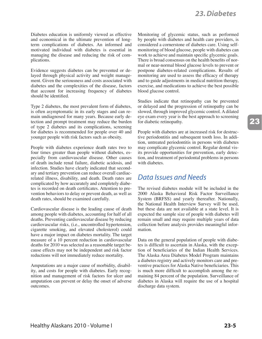Diabetes education is uniformly viewed as effective and economical in the ultimate prevention of longterm complications of diabetes. An informed and motivated individual with diabetes is essential in managing the disease and reducing the risk of complications.

Evidence suggests diabetes can be prevented or delayed through physical activity and weight management. Given the seriousness and costs associated with diabetes and the complexities of the disease, factors that account for increasing frequency of diabetes should be identified.

Type 2 diabetes, the most prevalent form of diabetes, is often asymptomatic in its early stages and can remain undiagnosed for many years. Because early detection and prompt treatment may reduce the burden of type 2 diabetes and its complications, screening for diabetes is recommended for people over 40 and younger people with risk factors such as obesity.

People with diabetes experience death rates two to four times greater than people without diabetes, especially from cardiovascular disease. Other causes of death include renal failure, diabetic acidosis, and infection. Studies have clearly indicated that secondary and tertiary prevention can reduce overall cardiacrelated illness, disability, and death. Death rates are complicated by how accurately and completely diabetes is recorded on death certificates. Attention to prevention behaviors to delay or prevent death, as well as death rates, should be examined carefully.

Cardiovascular disease is the leading cause of death among people with diabetes, accounting for half of all deaths. Preventing cardiovascular disease by reducing cardiovascular risks, (i.e., uncontrolled hypertension, cigarette smoking, and elevated cholesterol) could have a major impact on diabetes mortality. The target measure of a 10 percent reduction in cardiovascular deaths for 2010 was selected as a reasonable target because effects may not be independent and risk factor reductions will not immediately reduce mortality.

Amputations are a major cause of morbidity, disability, and costs for people with diabetes. Early recognition and management of risk factors for ulcer and amputation can prevent or delay the onset of adverse outcomes.

Monitoring of glycemic status, such as performed by people with diabetes and health care providers, is considered a cornerstone of diabetes care. Using selfmonitoring of blood glucose, people with diabetes can work to achieve and maintain specific glycemic goals. There is broad consensus on the health benefits of normal or near-normal blood glucose levels to prevent or postpone diabetes-related complications. Results of monitoring are used to assess the efficacy of therapy and to guide adjustments in medical nutrition therapy, exercise, and medications to achieve the best possible blood glucose control.

Studies indicate that retinopathy can be prevented or delayed and the progression of retinopathy can be slowed, through improved glycemic control. A dilated eye exam every year is the best approach to screening for diabetic retinopathy.

People with diabetes are at increased risk for destructive periodontitis and subsequent tooth loss. In addition, untreated periodontitis in persons with diabetes may complicate glycemic control. Regular dental visits provide opportunities for prevention, early detection, and treatment of periodontal problems in persons with diabetes.

#### *Data Issues and Needs*

The revised diabetes module will be included in the 2000 Alaska Behavioral Risk Factor Surveillance System (BRFSS) and yearly thereafter. Nationally, the National Health Interview Survey will be used, but these data are not available at a state level. It is expected the sample size of people with diabetes will remain small and may require multiple years of data collection before analysis provides meaningful information.

Data on the general population of people with diabetes is difficult to ascertain in Alaska, with the exception of beneficiaries of the Indian Health Services. The Alaska Area Diabetes Model Program maintains a diabetes registry and actively monitors care and preventive practices for Alaska Native beneficiaries. This is much more difficult to accomplish among the remaining 84 percent of the population. Surveillance of diabetes in Alaska will require the use of a hospital discharge data system.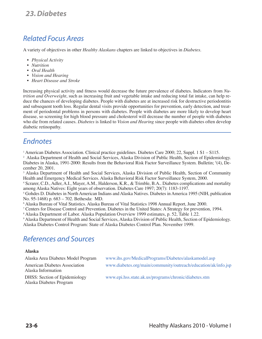# *Related Focus Areas*

A variety of objectives in other *Healthy Alaskans* chapters are linked to objectives in *Diabetes*.

- *• Physical Activity*
- *• Nutrition*
- *• Oral Health*
- *• Vision and Hearing*
- *• Heart Disease and Stroke*

Increasing physical activity and fitness would decrease the future prevalence of diabetes. Indicators from *Nutrition and Overweight*, such as increasing fruit and vegetable intake and reducing total fat intake, can help reduce the chances of developing diabetes. People with diabetes are at increased risk for destructive periodontitis and subsequent tooth loss. Regular dental visits provide opportunities for prevention, early detection, and treatment of periodontal problems in persons with diabetes. People with diabetes are more likely to develop heart disease, so screening for high blood pressure and cholesterol will decrease the number of people with diabetes who die from related causes. *Diabetes* is linked to *Vision and Hearing* since people with diabetes often develop diabetic retinopathy.

## *Endnotes*

1 American Diabetes Association. Clinical practice guidelines. Diabetes Care 2000; 22, Suppl. 1 S1 – S115.

2 Alaska Department of Health and Social Services, Alaska Division of Public Health, Section of Epidemiology. Diabetes in Alaska, 1991-2000: Results from the Behavioral Risk Factor Surveillance System. Bulletin; 5 (4), December 20, 2001.

<sup>3</sup> Alaska Department of Health and Social Services, Alaska Division of Public Health, Section of Community Health and Emergency Medical Services. Alaska Behavioral Risk Factor Surveillance System, 2000.

4 Scrarer, C.D., Adler, A.I., Mayer, A.M., Halderson, K.R., & Trimble, B.A.. Diabetes complications and mortality among Alaska Natives: Eight years of observation. Diabetes Care 1997; 20(7): 1183-1197.

5 Gohdes D. Diabetes in North American Indians and Alaska Natives. Diabetes in America 1995 (NIH, publication No. 95-1468) p. 683 – 702. Bethesda: MD.

6 Alaska Bureau of Vital Statistics. Alaska Bureau of Vital Statistics 1998 Annual Report, June 2000.

7 Centers for Disease Control and Prevention. Diabetes in the United States: A Strategy for prevention, 1994.

8 Alaska Department of Labor. Alaska Population Overview 1999 estimates, p. 52, Table 1.22.

9 Alaska Department of Health and Social Services, Alaska Division of Public Health, Section of Epidemiology. Alaska Diabetes Control Program: State of Alaska Diabetes Control Plan. November 1999.

# *References and Sources*

#### **Alaska**

| Alaska Area Diabetes Model Program                              | www.ihs.gov/MedicalPrograms/Diabetes/alaskamodel.asp           |
|-----------------------------------------------------------------|----------------------------------------------------------------|
| <b>American Diabetes Association</b><br>Alaska Information      | www.diabetes.org/main/community/outreach/education/ak/info.jsp |
| <b>DHSS:</b> Section of Epidemiology<br>Alaska Diabetes Program | www.epi.hss.state.ak.us/programs/chronic/diabetes.stm          |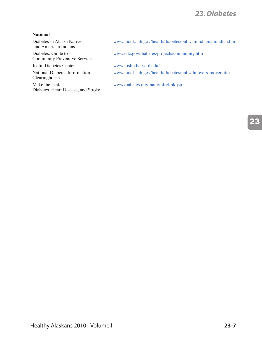## *23. Diabetes*

#### **National**

Diabetes in Alaska Natives and American Indians

Diabetes: Guide to Community Preventive Services

National Diabetes Information Clearinghouse

Make the Link! Diabetes, Heart Disease, and Stroke www.niddk.nih.gov/health/diabetes/pubs/amindian/amindian.htm

www.cdc.gov/diabetes/projects/community.htm

Joslin Diabetes Center www.joslin.harvard.edu/

www.niddk.nih.gov/health/diabetes/pubs/dmover/dmover.htm

www.diabetes.org/main/info/link.jsp